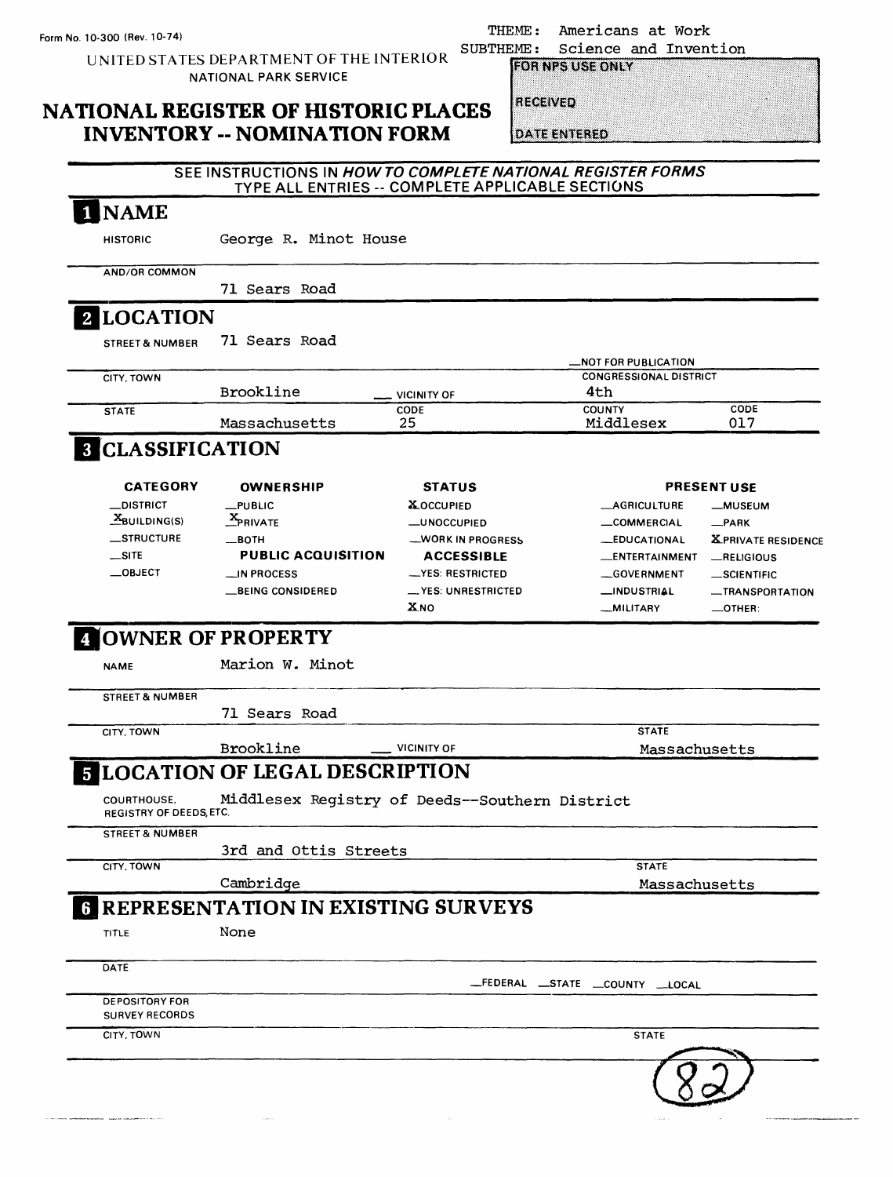THEME: Americans at Work<br>SUBTHEME: Science and Inven

UNITED STATES DEPARTMENT OF THE INTERIOR NATIONAL PARK SERVICE

### **NATIONAL REGISTER OF HISTORIC PLACES INVENTORY -- NOMINATION FORM**

| MF :            |                         | Science and Invention |
|-----------------|-------------------------|-----------------------|
|                 | <b>FOR NPS USE ONLY</b> |                       |
| <b>RECEIVED</b> |                         |                       |
|                 | <b>DATE ENTERED</b>     |                       |

### **SEE INSTRUCTIONS IN HOW TO COMPLETE NATIONAL REGISTER FORMS TYPE ALL ENTRIES -- COMPLETE APPLICABLE SECTIONS** 1 NAME

**HISTORIC** George R. Minot House

**AND/OR COMMON**

71 Sears Road

## **LOCATION**

STREET&NUMBER 71 Sears Road

|              |               |                    | -NOT FOR PUBLICATION          |      |
|--------------|---------------|--------------------|-------------------------------|------|
| CITY, TOWN   |               |                    | <b>CONGRESSIONAL DISTRICT</b> |      |
|              | Brookline     | <b>VICINITY OF</b> | 4th                           |      |
| <b>STATE</b> |               | CODE               | <b>COUNTY</b>                 | CODE |
|              | Massachusetts | 25                 | Middlesex                     | 017  |
|              |               |                    |                               |      |

## **3** CLASSIFICATION

| <b>CATEGORY</b>   | <b>OWNERSHIP</b>          | <b>STATUS</b>              |                     | <b>PRESENT USE</b>        |
|-------------------|---------------------------|----------------------------|---------------------|---------------------------|
| <b>__DISTRICT</b> | $L$ PUBLIC                | <b>XOCCUPIED</b>           | <b>AGRICULTURE</b>  | -MUSEUM                   |
| $X$ BUILDING(S)   | <b>X</b> PRIVATE          | <b>LUNOCCUPIED</b>         | COMMERCIAL          | $R$ PARK                  |
| <b>STRUCTURE</b>  | __BOTH                    | -WORK IN PROGRESS          | <b>_EDUCATIONAL</b> | <b>XPRIVATE RESIDENCE</b> |
| $\equiv$ SITE     | <b>PUBLIC ACQUISITION</b> | <b>ACCESSIBLE</b>          | _ENTERTAINMENT      | RELIGIOUS                 |
| $\equiv$ OBJECT   | $\equiv$ IN PROCESS       | -YES: RESTRICTED           | _GOVERNMENT         | $-$ SCIENTIFIC            |
|                   | <b>BEING CONSIDERED</b>   | $\equiv$ YES: UNRESTRICTED | <b>_INDUSTRIAL</b>  | -TRANSPORTATION           |
|                   |                           | ϪNO                        | _MILITARY           | $\equiv$ OTHER:           |

## **OWNER OF PROPERTY**

**NAME** Marion W. Minot

**STREET& NUMBER** 71 Sears Road

**CITY. TOWN**

Brookline **Internal CONTIN** OF

Massachusetts

**STATE**

#### **LOCATION OF LEGAL DESCRIPTION** 5

COURTHOUSE. Middlesex Registry of Deeds--Southern District **REGISTRY OF DEEDS, ETC.**

**STREET & NUMBER** 

**CITY. TOWN**

3rd and Ottis Streets

Cambridge

**STATE** Massachusetts

 $8\,$ 

## **1 REPRESENTATION IN EXISTING SURVEYS**

| <b>TITLE</b> | None |
|--------------|------|
|--------------|------|

| <b>DATE</b>           |                                 |
|-----------------------|---------------------------------|
|                       | _FEDERAL _STATE _COUNTY __LOCAL |
| <b>DEPOSITORY FOR</b> |                                 |
| <b>SURVEY RECORDS</b> |                                 |
| CITY, TOWN            | <b>STATE</b>                    |
|                       |                                 |
|                       |                                 |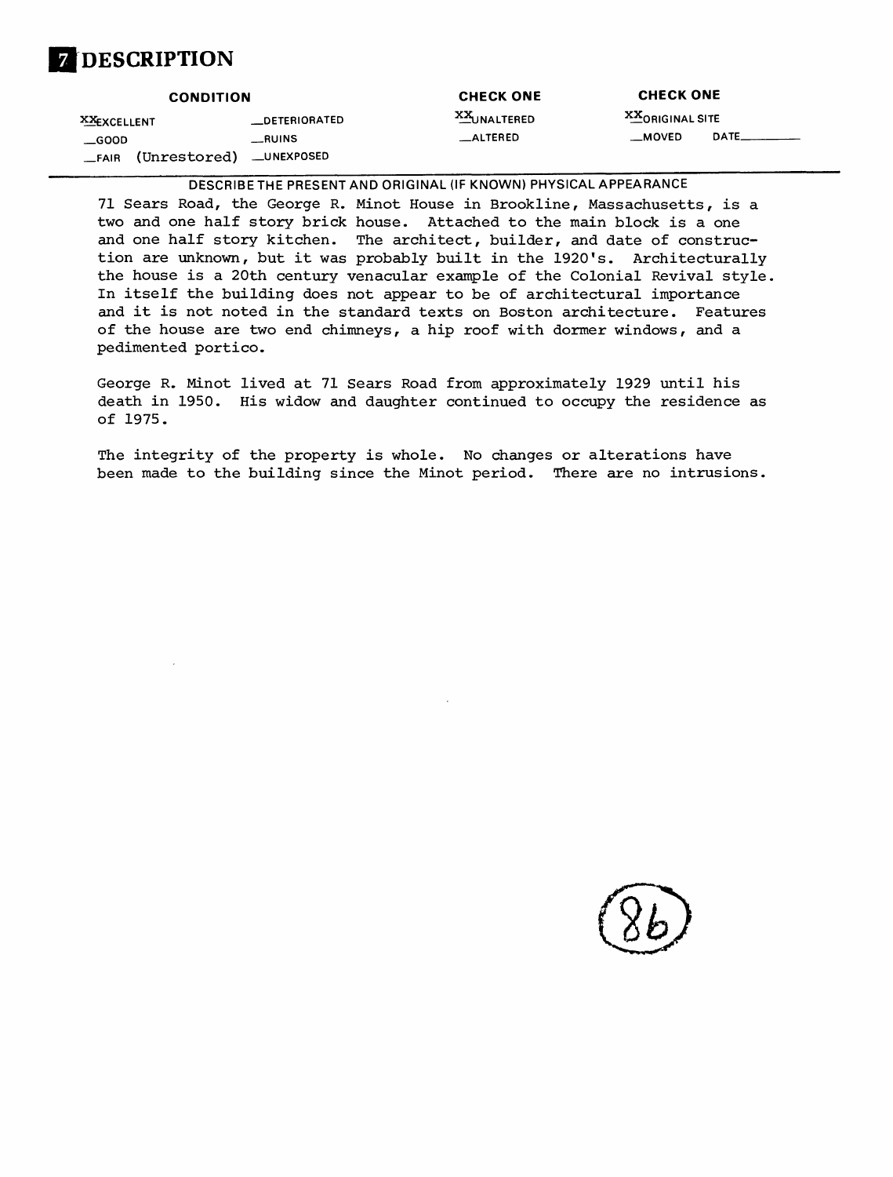# **DESCRIPTION**

| <b>CONDITION</b> |                          | <b>CHECK ONE</b> | <b>CHECK ONE</b>        |              |
|------------------|--------------------------|------------------|-------------------------|--------------|
| XXEXCELLENT      | __DETERIORATED           | XXUNALTERED      | <b>XX</b> ORIGINAL SITE |              |
| GOOD GOOD        | $_{-}$ RUINS             | __ALTERED        | __MOVED                 | <b>DATE_</b> |
| $-FAIR$          | (Unrestored) __UNEXPOSED |                  |                         |              |

DESCRIBETHE PRESENT AND ORIGINAL (IF KNOWN) PHYSICAL APPEARANCE

71 Sears Road, the George R. Minot House in Brookline, Massachusetts, is a two and one half story brick house. Attached to the main block is a one and one half story kitchen. The architect, builder, and date of construction are unknown, but it was probably built in the 1920's. Architecturally the house is a 20th century venacular example of the Colonial Revival style, In itself the building does not appear to be of architectural importance and it is not noted in the standard texts on Boston architecture. Features of the house are two end chimneys, a hip roof with dormer windows, and a pedimented portico.

George R. Minot lived at 71 Sears Road from approximately 1929 until his death in 1950. His widow and daughter continued to occupy the residence as of 1975.

The integrity of the property is whole. No changes or alterations have been made to the building since the Minot period. There are no intrusions.

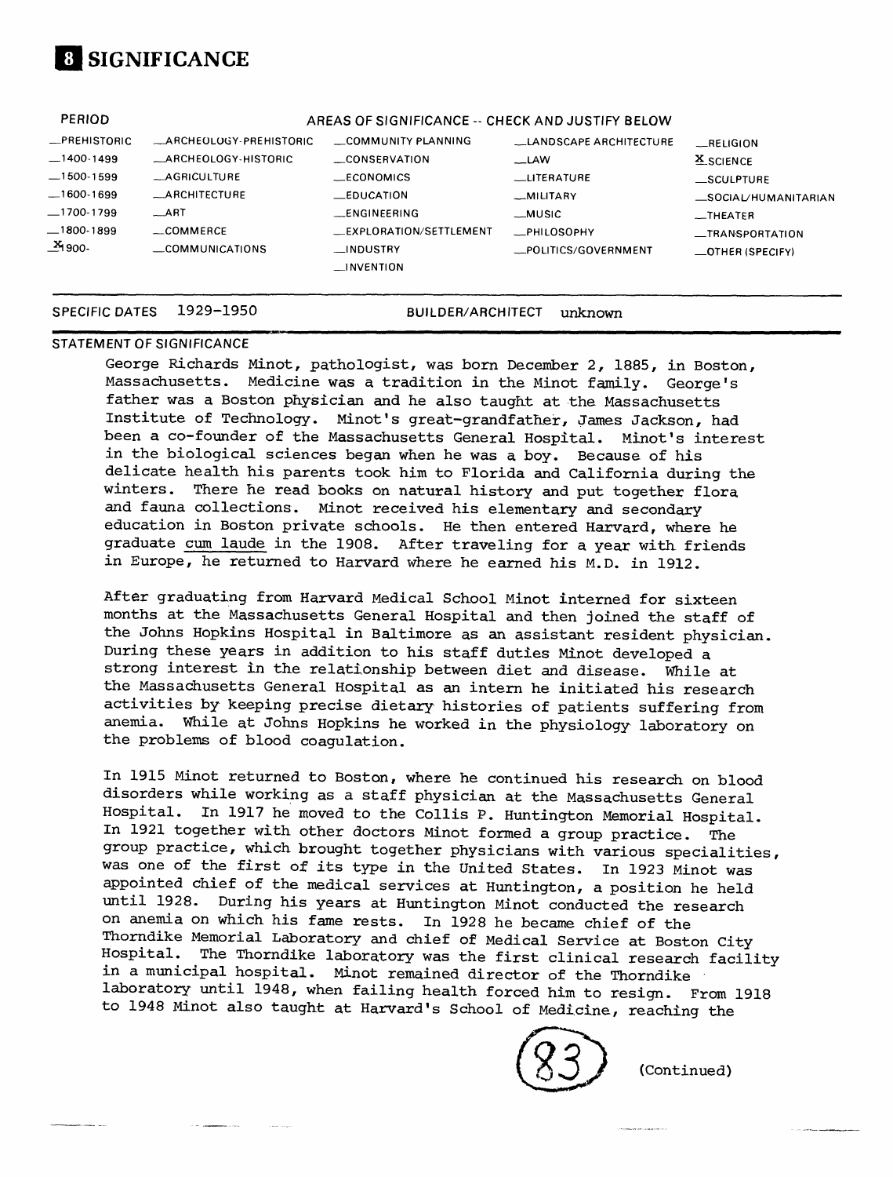# **[1 SIGNIFICANCE**

| <b>PERIOD</b>        |                               | AREAS OF SIGNIFICANCE -- CHECK AND JUSTIFY BELOW |                               |                          |
|----------------------|-------------------------------|--------------------------------------------------|-------------------------------|--------------------------|
| -PREHISTORIC         | <b>ARCHEOLOGY-PREHISTORIC</b> | COMMUNITY PLANNING                               | <b>LANDSCAPE ARCHITECTURE</b> | RELIGION                 |
| $-1400-1499$         | _ARCHEOLOGY-HISTORIC          | CONSERVATION                                     | $-LAW$                        | <b>X</b> SCIENCE         |
| $-1500-1599$         | <b>AGRICULTURE</b>            | $-CONOMICS$                                      | <b>LLITERATURE</b>            | SCULPTURE                |
| $-1600-1699$         | <b>ARCHITECTURE</b>           | $E$ DUCATION                                     | _MILITARY                     | SOCIAL/HUMANITARIAN      |
| _1700-1799           | $-ART$                        | <b>ENGINFERING</b>                               | __MUSIC                       | $-$ THEATER              |
| $-1800-1899$         | COMMERCE                      | EXPLORATION/SETTLEMENT                           | _PHILOSOPHY                   | _TRANSPORTATION          |
| _ <sup>X</sup> 1900- | $\equiv$ COMMUNICATIONS       | __INDUSTRY                                       | _POLITICS/GOVERNMENT          | $\equiv$ OTHER (SPECIFY) |
|                      |                               | $\equiv$ INVENTION                               |                               |                          |
|                      |                               |                                                  |                               |                          |

#### **SPECIFIC DATES 1929-1950 BUILDER/ARCHITECT unknown**

### **STATEMENT OF SIGNIFICANCE**

George Richards Minot, pathologist, was born December 2, 1885, in Boston, Massachusetts. Medicine was a tradition in the Minot family. George's father was a Boston physician and he also taught at the Massachusetts Institute of Technology. Minot's great-grandfather, James Jackson, had been a co-founder of the Massachusetts General Hospital. Minot's interest in the biological sciences began when he was a boy. Because of his delicate health his parents took him to Florida and California during the winters. There he read books on natural history and put together flora and fauna collections. Minot received his elementary and secondary education in Boston private schools. He then entered Harvard, where he graduate cum laude in the 1908. After traveling for a year with friends in Europe, he returned to Harvard where he earned his M.D. in 1912.

After graduating from Harvard Medical School Minot interned for sixteen months at the Massachusetts General Hospital and then joined the staff of the Johns Hopkins Hospital in Baltimore as an assistant resident physician. During these years in addition to his staff duties Minot developed a strong interest in the relationship between diet and disease. While at the Massachusetts General Hospital as an intern he initiated his research activities by keeping precise dietary histories of patients suffering from anemia. While at Johns Hopkins he worked in the physiology laboratory on the problems of blood coagulation.

In 1915 Minot returned to Boston, where he continued his research on blood disorders while working as a staff physician at the Massachusetts General Hospital. In 1917 he moved to the Collis P. Huntington Memorial Hospital. In 1921 together with other doctors Minot formed a group practice. The group practice, which brought together physicians with various specialities, was one of the first of its type in the United States. In 1923 Minot was appointed chief of the medical services at Huntington, a position he held until 1928. During his years at Huntington Minot conducted the research on anemia on which his fame rests. In 1928 he became chief of the Thorndike Memorial Laboratory and chief of Medical Service at Boston City Hospital. The Thorndike laboratory was the first clinical research facility in a municipal hospital. Minot remained director of the Thorndike laboratory until 1948, when failing health forced him to resign. From 1918 to 1948 Minot also taught at Harvard's School of Medicine, reaching the



(Continued)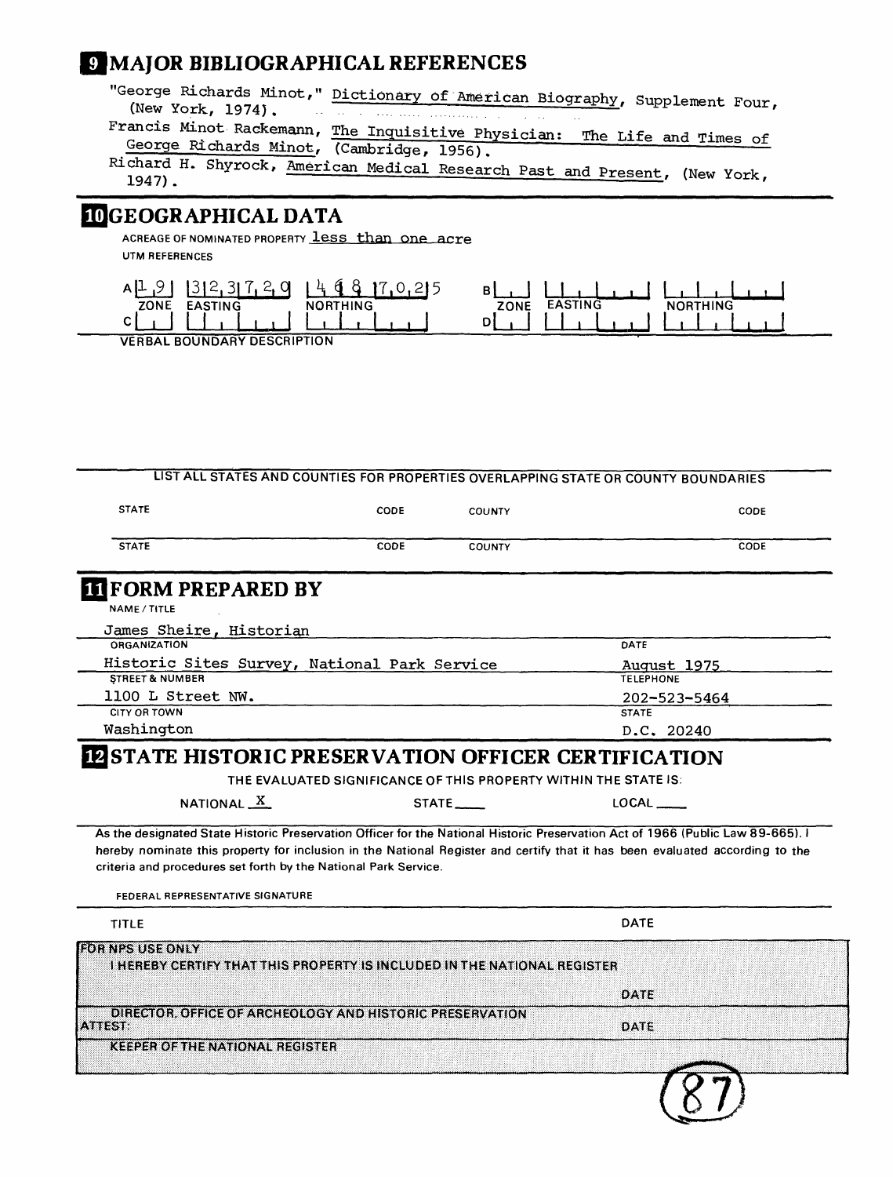## **MAJOR BIBLIOGRAPHICAL REFERENCES**

"George Richards Minot," Dictionary of American Biography, Supplement Four,<br>(New York, 1974).

Francis Minot Rackemann, <u>The Inquisitive Physician: The Life and Times of George Richards Minot, (Cambridge, 1956)</u> George Richards Minot, (Cambridge, 1956).<br>Richard H. Shyrock, <u>American Medical Research Past and Present</u>, (New York, 1947).

## **JGEOGRAPHICAL DATA**

ACREAGE OF NOMINATED PROPERTY **leSS than One**  UTM REFERENCES



**VERBAL BOUNDARY DESCRIPTION**

|                                                                          |                                                                  |                          | LIST ALL STATES AND COUNTIES FOR PROPERTIES OVERLAPPING STATE OR COUNTY BOUNDARIES                                              |
|--------------------------------------------------------------------------|------------------------------------------------------------------|--------------------------|---------------------------------------------------------------------------------------------------------------------------------|
| <b>STATE</b>                                                             | CODE                                                             | COUNTY                   | CODE                                                                                                                            |
| <b>STATE</b>                                                             | CODE                                                             | <b>COUNTY</b>            | CODE                                                                                                                            |
| <b>IT FORM PREPARED BY</b>                                               |                                                                  |                          |                                                                                                                                 |
| NAME / TITLE                                                             |                                                                  |                          |                                                                                                                                 |
| James Sheire, Historian                                                  |                                                                  |                          |                                                                                                                                 |
| <b>ORGANIZATION</b>                                                      |                                                                  |                          | DATE                                                                                                                            |
| Historic Sites Survey, National Park Service                             |                                                                  |                          | August 1975                                                                                                                     |
| <b>STREET &amp; NUMBER</b>                                               |                                                                  |                          | <b>TELEPHONE</b>                                                                                                                |
| 1100 L Street NW.<br>CITY OR TOWN                                        |                                                                  |                          | 202-523-5464                                                                                                                    |
| Washington                                                               |                                                                  |                          | <b>STATE</b>                                                                                                                    |
|                                                                          |                                                                  |                          | D.C. 20240                                                                                                                      |
| <b>IN STATE HISTORIC PRESERVATION OFFICER CERTIFICATION</b>              |                                                                  |                          |                                                                                                                                 |
|                                                                          | THE EVALUATED SIGNIFICANCE OF THIS PROPERTY WITHIN THE STATE IS: |                          |                                                                                                                                 |
| NATIONAL X                                                               |                                                                  | $STATE$ <sub>-----</sub> | LOCAL                                                                                                                           |
|                                                                          |                                                                  |                          | As the designated State Historic Preservation Officer for the National Historic Preservation Act of 1966 (Public Law 89-665). I |
| criteria and procedures set forth by the National Park Service.          |                                                                  |                          | hereby nominate this property for inclusion in the National Register and certify that it has been evaluated according to the    |
| FEDERAL REPRESENTATIVE SIGNATURE                                         |                                                                  |                          |                                                                                                                                 |
| <b>TITLE</b>                                                             |                                                                  |                          | DATE                                                                                                                            |
| <b>EOR NPS USE ONLY</b>                                                  |                                                                  |                          |                                                                                                                                 |
| I HEREBY CERTIFY THAT THIS PROPERTY IS INCLUDED IN THE NATIONAL REGISTER |                                                                  |                          |                                                                                                                                 |
|                                                                          |                                                                  |                          | DATE                                                                                                                            |
| DIRECTOR, OFFICE OF ARCHEOLOGY AND HISTORIC PRESERVATION                 |                                                                  |                          |                                                                                                                                 |
| ATTEST:                                                                  |                                                                  |                          | DATE                                                                                                                            |
| <b>KEEPER OF THE NATIONAL REGISTER</b>                                   |                                                                  |                          |                                                                                                                                 |
|                                                                          |                                                                  |                          |                                                                                                                                 |
|                                                                          |                                                                  |                          |                                                                                                                                 |
|                                                                          |                                                                  |                          |                                                                                                                                 |
|                                                                          |                                                                  |                          |                                                                                                                                 |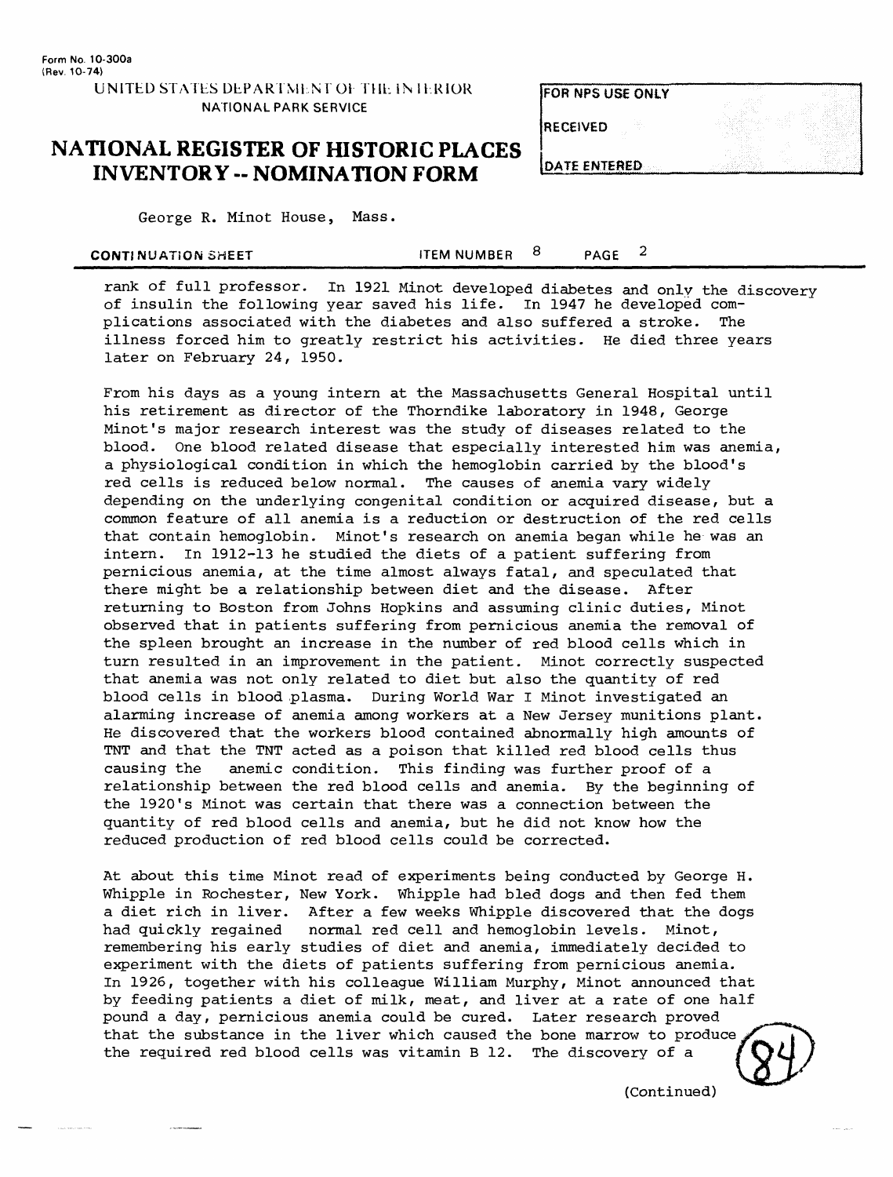### **UNITED STATES DEPARTMENT OF THE IN IERIOR NATIONAL PARK SERVICE**

**FOR NPS USE ONLY** 

**RECEIVED** 

DATE ENTERED

## **NATIONAL REGISTER OF HISTORIC PLACES INVENTORY -- NOMINATION FORM**

George R. Minot House, Mass.

| CONTINUATION SHEET | <b>ITEM NUMBER</b> |  | <b>PAGE</b> |  |
|--------------------|--------------------|--|-------------|--|
|--------------------|--------------------|--|-------------|--|

rank of full professor. In 1921 Minot developed diabetes and only the discovery of insulin the following year saved his life. In 1947 he developed complications associated with the diabetes and also suffered a stroke. The illness forced him to greatly restrict his activities. He died three years later on February 24, 1950.

From his days as a young intern at the Massachusetts General Hospital until his retirement as director of the Thorndike laboratory in 1948, George Minot's major research interest was the study of diseases related to the blood. One blood related disease that especially interested him was anemia, a physiological condition in which the hemoglobin carried by the blood's red cells is reduced below normal. The causes of anemia vary widely depending on the underlying congenital condition or acquired disease, but a common feature of all anemia is a reduction or destruction of the red cells that contain hemoglobin. Minot's research on anemia began while he was an intern. In 1912-13 he studied the diets of a patient suffering from pernicious anemia, at the time almost always fatal, and speculated that there might be a relationship between diet and the disease. After returning to Boston from Johns Hopkins and assuming clinic duties, Minot observed that in patients suffering from pernicious anemia the removal of the spleen brought an increase in the number of red blood cells which in turn resulted in an improvement in the patient. Minot correctly suspected that anemia was not only related to diet but also the quantity of red blood cells in blood plasma. During World War I Minot investigated an alarming increase of anemia among workers at a New Jersey munitions plant. He discovered that the workers blood contained abnormally high amounts of TNT and that the TNT acted as a poison that killed red blood cells thus causing the anemic condition. This finding was further proof of a relationship between the red blood cells and anemia. By the beginning of the 1920's Minot was certain that there was a connection between the quantity of red blood cells and anemia, but he did not know how the reduced production of red blood cells could be corrected.

At about this time Minot read of experiments being conducted by George H. Whipple in Rochester, New York. Whipple had bled dogs and then fed them a diet rich in liver. After a few weeks Whipple discovered that the dogs had quickly regained normal red cell and hemoglobin levels. Minot, remembering his early studies of diet and anemia, immediately decided to experiment with the diets of patients suffering from pernicious anemia. In 1926, together with his colleague William Murphy, Minot announced that by feeding patients a diet of milk, meat, and liver at a rate of one half pound a day, pernicious anemia could be cured. Later research proved that the substance in the liver which caused the bone marrow to produce the required red blood cells was vitamin B 12. The discovery of a

(Continued)